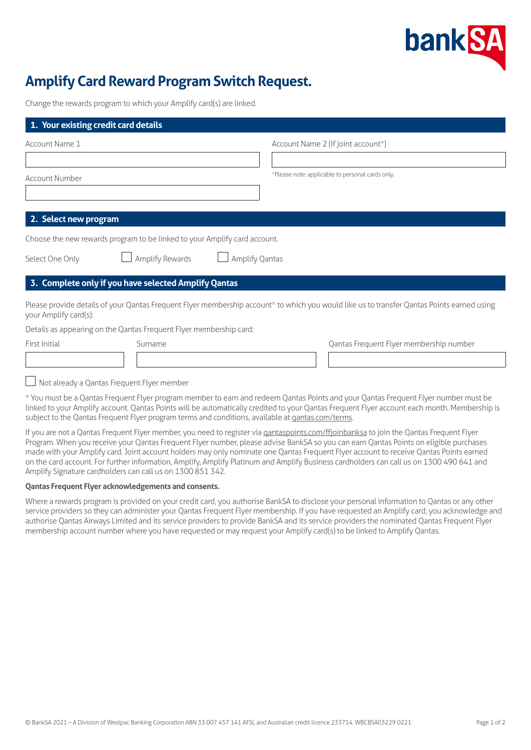

# **Amplify Card Reward Program Switch Request.**

Change the rewards program to which your Amplify card(s) are linked.

| Account Name 1        |                                                                           | Account Name 2 (If joint account*)                                                                                                         |
|-----------------------|---------------------------------------------------------------------------|--------------------------------------------------------------------------------------------------------------------------------------------|
|                       |                                                                           |                                                                                                                                            |
| <b>Account Number</b> |                                                                           | *Please note: applicable to personal cards only.                                                                                           |
|                       |                                                                           |                                                                                                                                            |
|                       |                                                                           |                                                                                                                                            |
| 2. Select new program |                                                                           |                                                                                                                                            |
|                       | Choose the new rewards program to be linked to your Amplify card account. |                                                                                                                                            |
| Select One Only       | Amplify Rewards                                                           | Amplify Qantas                                                                                                                             |
|                       |                                                                           |                                                                                                                                            |
|                       | 3. Complete only if you have selected Amplify Qantas                      |                                                                                                                                            |
| your Amplify card(s): |                                                                           | Please provide details of your Qantas Frequent Flyer membership account* to which you would like us to transfer Qantas Points earned using |
|                       | Details as appearing on the Qantas Frequent Flyer membership card:        |                                                                                                                                            |
| First Initial         | Surname                                                                   | Qantas Frequent Flyer membership number                                                                                                    |
|                       |                                                                           |                                                                                                                                            |
|                       |                                                                           |                                                                                                                                            |
|                       | $\Box$ Not already a Qantas Frequent Flyer member                         |                                                                                                                                            |
|                       |                                                                           | * You must be a Qantas Frequent Flyer program member to earn and redeem Qantas Points and your Qantas Frequent Flyer number must be        |

\* You must be a Qantas Frequent Flyer program member to earn and redeem Qantas Points and your Qantas Frequent Flyer number must be linked to your Amplify account. Qantas Points will be automatically credited to your Qantas Frequent Flyer account each month. Membership is subject to the Qantas Frequent Flyer program terms and conditions, available at [qantas.com/terms.](http://qantas.com/terms)

If you are not a Qantas Frequent Flyer member, you need to register via gantaspoints.com/ffjoinbanksa to join the Qantas Frequent Flyer Program. When you receive your Qantas Frequent Flyer number, please advise BankSA so you can earn Qantas Points on eligible purchases made with your Amplify card. Joint account holders may only nominate one Qantas Frequent Flyer account to receive Qantas Points earned on the card account. For further information, Amplify, Amplify Platinum and Amplify Business cardholders can call us on 1300 490 641 and Amplify Signature cardholders can call us on 1300 851 342.

## **Qantas Frequent Flyer acknowledgements and consents.**

Where a rewards program is provided on your credit card, you authorise BankSA to disclose your personal information to Qantas or any other service providers so they can administer your Qantas Frequent Flyer membership. If you have requested an Amplify card, you acknowledge and authorise Qantas Airways Limited and its service providers to provide BankSA and its service providers the nominated Qantas Frequent Flyer membership account number where you have requested or may request your Amplify card(s) to be linked to Amplify Qantas.